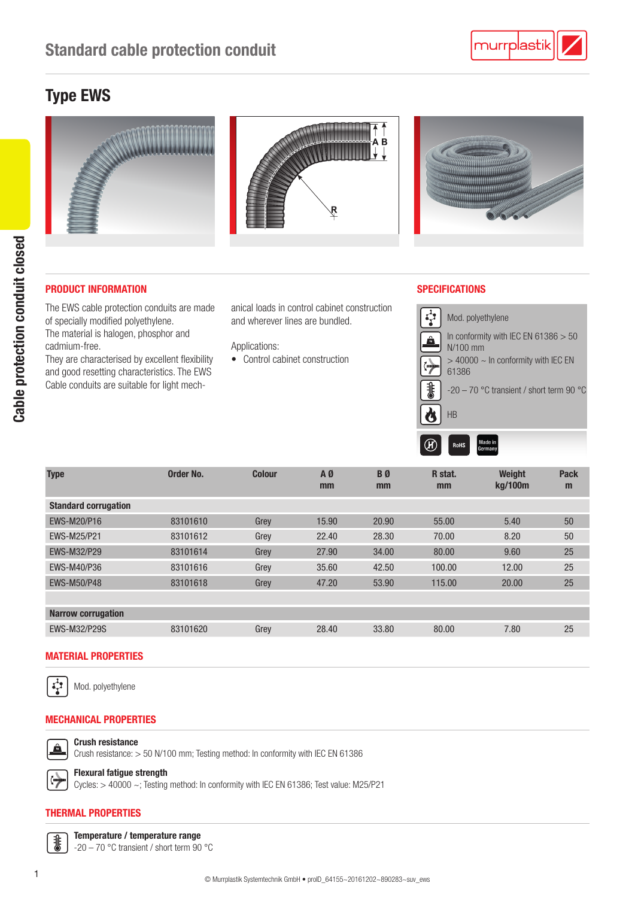## Type EWS



#### PRODUCT INFORMATION SPECIFICATIONS

Cable protection conduit closed

Cable protection conduit closed

The EWS cable protection conduits are made of specially modified polyethylene. The material is halogen, phosphor and

cadmium-free. They are characterised by excellent flexibility

and good resetting characteristics. The EWS Cable conduits are suitable for light mechanical loads in control cabinet construction and wherever lines are bundled.

Applications:

• Control cabinet construction



| <b>Type</b>                 | Order No. | <b>Colour</b> | A0<br>mm | BØ<br>mm | R stat.<br>mm | Weight<br>kg/100m | Pack<br>m |
|-----------------------------|-----------|---------------|----------|----------|---------------|-------------------|-----------|
| <b>Standard corrugation</b> |           |               |          |          |               |                   |           |
| EWS-M20/P16                 | 83101610  | Grey          | 15.90    | 20.90    | 55.00         | 5.40              | 50        |
| <b>EWS-M25/P21</b>          | 83101612  | Grey          | 22.40    | 28.30    | 70.00         | 8.20              | 50        |
| <b>EWS-M32/P29</b>          | 83101614  | Grey          | 27.90    | 34.00    | 80.00         | 9.60              | 25        |
| EWS-M40/P36                 | 83101616  | Grey          | 35.60    | 42.50    | 100.00        | 12.00             | 25        |
| <b>EWS-M50/P48</b>          | 83101618  | Grey          | 47.20    | 53.90    | 115.00        | 20,00             | 25        |
|                             |           |               |          |          |               |                   |           |
| <b>Narrow corrugation</b>   |           |               |          |          |               |                   |           |
| <b>EWS-M32/P29S</b>         | 83101620  | Grey          | 28.40    | 33.80    | 80.00         | 7.80              | 25        |

#### MATERIAL PROPERTIES



Mod. polyethylene

### MECHANICAL PROPERTIES

Crush resistance



 $\leftrightarrow$ 

# Crush resistance: > 50 N/100 mm; Testing method: In conformity with IEC EN 61386

Flexural fatigue strength Cycles: > 40000 ~; Testing method: In conformity with IEC EN 61386; Test value: M25/P21

#### THERMAL PROPERTIES